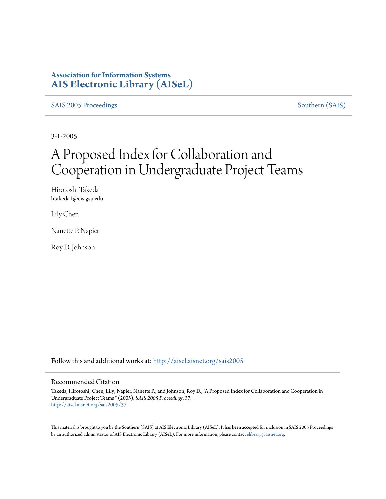#### **Association for Information Systems [AIS Electronic Library \(AISeL\)](http://aisel.aisnet.org?utm_source=aisel.aisnet.org%2Fsais2005%2F37&utm_medium=PDF&utm_campaign=PDFCoverPages)**

[SAIS 2005 Proceedings](http://aisel.aisnet.org/sais2005?utm_source=aisel.aisnet.org%2Fsais2005%2F37&utm_medium=PDF&utm_campaign=PDFCoverPages) [Southern \(SAIS\)](http://aisel.aisnet.org/sais?utm_source=aisel.aisnet.org%2Fsais2005%2F37&utm_medium=PDF&utm_campaign=PDFCoverPages)

3-1-2005

# A Proposed Index for Collaboration and Cooperation in Undergraduate Project Teams

Hirotoshi Takeda htakeda1@cis.gsu.edu

Lily Chen

Nanette P. Napier

Roy D. Johnson

Follow this and additional works at: [http://aisel.aisnet.org/sais2005](http://aisel.aisnet.org/sais2005?utm_source=aisel.aisnet.org%2Fsais2005%2F37&utm_medium=PDF&utm_campaign=PDFCoverPages)

#### Recommended Citation

Takeda, Hirotoshi; Chen, Lily; Napier, Nanette P.; and Johnson, Roy D., "A Proposed Index for Collaboration and Cooperation in Undergraduate Project Teams " (2005). *SAIS 2005 Proceedings*. 37. [http://aisel.aisnet.org/sais2005/37](http://aisel.aisnet.org/sais2005/37?utm_source=aisel.aisnet.org%2Fsais2005%2F37&utm_medium=PDF&utm_campaign=PDFCoverPages)

This material is brought to you by the Southern (SAIS) at AIS Electronic Library (AISeL). It has been accepted for inclusion in SAIS 2005 Proceedings by an authorized administrator of AIS Electronic Library (AISeL). For more information, please contact [elibrary@aisnet.org](mailto:elibrary@aisnet.org%3E).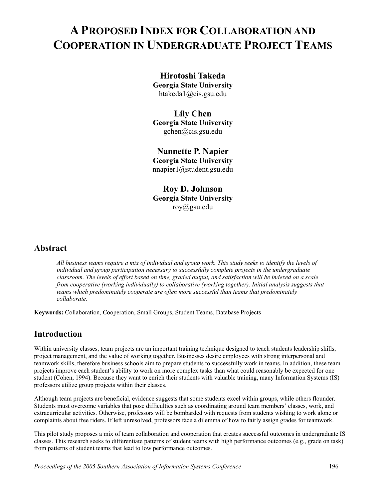# **A PROPOSED INDEX FOR COLLABORATION AND COOPERATION IN UNDERGRADUATE PROJECT TEAMS**

#### **Hirotoshi Takeda Georgia State University**  htakeda1@cis.gsu.edu

#### **Lily Chen**

**Georgia State University**  gchen@cis.gsu.edu

**Nannette P. Napier Georgia State University**  nnapier1@student.gsu.edu

**Roy D. Johnson Georgia State University**  roy@gsu.edu

#### **Abstract**

*All business teams require a mix of individual and group work. This study seeks to identify the levels of individual and group participation necessary to successfully complete projects in the undergraduate classroom. The levels of effort based on time, graded output, and satisfaction will be indexed on a scale from cooperative (working individually) to collaborative (working together). Initial analysis suggests that teams which predominately cooperate are often more successful than teams that predominately collaborate.* 

**Keywords:** Collaboration, Cooperation, Small Groups, Student Teams, Database Projects

# **Introduction**

Within university classes, team projects are an important training technique designed to teach students leadership skills, project management, and the value of working together. Businesses desire employees with strong interpersonal and teamwork skills, therefore business schools aim to prepare students to successfully work in teams. In addition, these team projects improve each student's ability to work on more complex tasks than what could reasonably be expected for one student (Cohen, 1994). Because they want to enrich their students with valuable training, many Information Systems (IS) professors utilize group projects within their classes.

Although team projects are beneficial, evidence suggests that some students excel within groups, while others flounder. Students must overcome variables that pose difficulties such as coordinating around team members' classes, work, and extracurricular activities. Otherwise, professors will be bombarded with requests from students wishing to work alone or complaints about free riders. If left unresolved, professors face a dilemma of how to fairly assign grades for teamwork.

This pilot study proposes a mix of team collaboration and cooperation that creates successful outcomes in undergraduate IS classes. This research seeks to differentiate patterns of student teams with high performance outcomes (e.g., grade on task) from patterns of student teams that lead to low performance outcomes.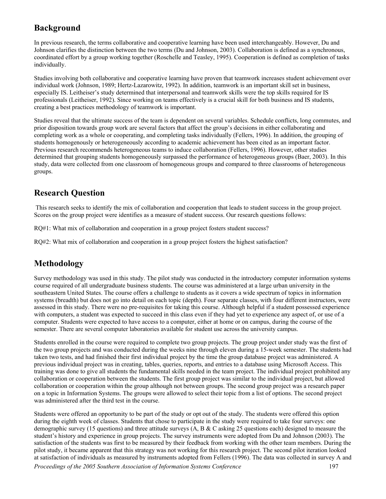# **Background**

In previous research, the terms collaborative and cooperative learning have been used interchangeably. However, Du and Johnson clarifies the distinction between the two terms (Du and Johnson, 2003). Collaboration is defined as a synchronous, coordinated effort by a group working together (Roschelle and Teasley, 1995). Cooperation is defined as completion of tasks individually.

Studies involving both collaborative and cooperative learning have proven that teamwork increases student achievement over individual work (Johnson, 1989; Hertz-Lazarowitz, 1992). In addition, teamwork is an important skill set in business, especially IS. Leitheiser's study determined that interpersonal and teamwork skills were the top skills required for IS professionals (Leitheiser, 1992). Since working on teams effectively is a crucial skill for both business and IS students, creating a best practices methodology of teamwork is important.

Studies reveal that the ultimate success of the team is dependent on several variables. Schedule conflicts, long commutes, and prior disposition towards group work are several factors that affect the group's decisions in either collaborating and completing work as a whole or cooperating, and completing tasks individually (Fellers, 1996). In addition, the grouping of students homogenously or heterogeneously according to academic achievement has been cited as an important factor. Previous research recommends heterogeneous teams to induce collaboration (Fellers, 1996). However, other studies determined that grouping students homogeneously surpassed the performance of heterogeneous groups (Baer, 2003). In this study, data were collected from one classroom of homogeneous groups and compared to three classrooms of heterogeneous groups.

### **Research Question**

 This research seeks to identify the mix of collaboration and cooperation that leads to student success in the group project. Scores on the group project were identifies as a measure of student success. Our research questions follows:

RQ#1: What mix of collaboration and cooperation in a group project fosters student success?

RQ#2: What mix of collaboration and cooperation in a group project fosters the highest satisfaction?

# **Methodology**

Survey methodology was used in this study. The pilot study was conducted in the introductory computer information systems course required of all undergraduate business students. The course was administered at a large urban university in the southeastern United States. The course offers a challenge to students as it covers a wide spectrum of topics in information systems (breadth) but does not go into detail on each topic (depth). Four separate classes, with four different instructors, were assessed in this study. There were no pre-requisites for taking this course. Although helpful if a student possessed experience with computers, a student was expected to succeed in this class even if they had yet to experience any aspect of, or use of a computer. Students were expected to have access to a computer, either at home or on campus, during the course of the semester. There are several computer laboratories available for student use across the university campus.

Students enrolled in the course were required to complete two group projects. The group project under study was the first of the two group projects and was conducted during the weeks nine through eleven during a 15-week semester. The students had taken two tests, and had finished their first individual project by the time the group database project was administered. A previous individual project was in creating, tables, queries, reports, and entries to a database using Microsoft Access. This training was done to give all students the fundamental skills needed in the team project. The individual project prohibited any collaboration or cooperation between the students. The first group project was similar to the individual project, but allowed collaboration or cooperation within the group although not between groups. The second group project was a research paper on a topic in Information Systems. The groups were allowed to select their topic from a list of options. The second project was administered after the third test in the course.

Students were offered an opportunity to be part of the study or opt out of the study. The students were offered this option during the eighth week of classes. Students that chose to participate in the study were required to take four surveys: one demographic survey (15 questions) and three attitude surveys (A, B & C asking 25 questions each) designed to measure the student's history and experience in group projects. The survey instruments were adopted from Du and Johnson (2003). The satisfaction of the students was first to be measured by their feedback from working with the other team members. During the pilot study, it became apparent that this strategy was not working for this research project. The second pilot iteration looked at satisfaction of individuals as measured by instruments adopted from Fellers (1996). The data was collected in survey A and *Proceedings of the 2005 Southern Association of Information Systems Conference* 197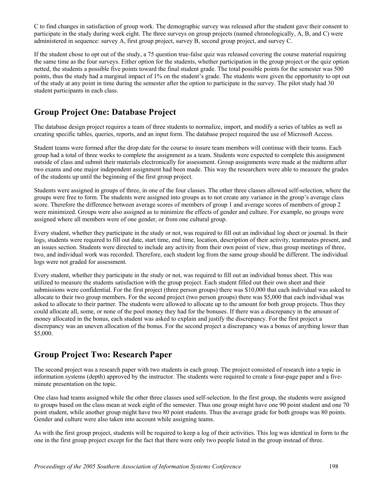C to find changes in satisfaction of group work. The demographic survey was released after the student gave their consent to participate in the study during week eight. The three surveys on group projects (named chronologically, A, B, and C) were administered in sequence: survey A, first group project, survey B, second group project, and survey C.

If the student chose to opt out of the study, a 75 question true-false quiz was released covering the course material requiring the same time as the four surveys. Either option for the students, whether participation in the group project or the quiz option netted, the students a possible five points toward the final student grade. The total possible points for the semester was 500 points, thus the study had a marginal impact of 1% on the student's grade. The students were given the opportunity to opt out of the study at any point in time during the semester after the option to participate in the survey. The pilot study had 30 student participants in each class.

# **Group Project One: Database Project**

The database design project requires a team of three students to normalize, import, and modify a series of tables as well as creating specific tables, queries, reports, and an input form. The database project required the use of Microsoft Access.

Student teams were formed after the drop date for the course to insure team members will continue with their teams. Each group had a total of three weeks to complete the assignment as a team. Students were expected to complete this assignment outside of class and submit their materials electronically for assessment. Group assignments were made at the midterm after two exams and one major independent assignment had been made. This way the researchers were able to measure the grades of the students up until the beginning of the first group project.

Students were assigned in groups of three, in one of the four classes. The other three classes allowed self-selection, where the groups were free to form. The students were assigned into groups as to not create any variance in the group's average class score. Therefore the difference between average scores of members of group 1 and average scores of members of group 2 were minimized. Groups were also assigned as to minimize the effects of gender and culture. For example, no groups were assigned where all members were of one gender, or from one cultural group.

Every student, whether they participate in the study or not, was required to fill out an individual log sheet or journal. In their logs, students were required to fill out date, start time, end time, location, description of their activity, teammates present, and an issues section. Students were directed to include any activity from their own point of view, thus group meetings of three, two, and individual work was recorded. Therefore, each student log from the same group should be different. The individual logs were not graded for assessment.

Every student, whether they participate in the study or not, was required to fill out an individual bonus sheet. This was utilized to measure the students satisfaction with the group project. Each student filled out their own sheet and their submissions were confidential. For the first project (three person groups) there was \$10,000 that each individual was asked to allocate to their two group members. For the second project (two person groups) there was \$5,000 that each individual was asked to allocate to their partner. The students were allowed to allocate up to the amount for both group projects. Thus they could allocate all, some, or none of the pool money they had for the bonuses. If there was a discrepancy in the amount of money allocated in the bonus, each student was asked to explain and justify the discrepancy. For the first project a discrepancy was an uneven allocation of the bonus. For the second project a discrepancy was a bonus of anything lower than \$5,000.

# **Group Project Two: Research Paper**

The second project was a research paper with two students in each group. The project consisted of research into a topic in information systems (depth) approved by the instructor. The students were required to create a four-page paper and a fiveminute presentation on the topic.

One class had teams assigned while the other three classes used self-selection. In the first group, the students were assigned to groups based on the class mean at week eight of the semester. Thus one group might have one 90 point student and one 70 point student, while another group might have two 80 point students. Thus the average grade for both groups was 80 points. Gender and culture were also taken into account while assigning teams.

As with the first group project, students will be required to keep a log of their activities. This log was identical in form to the one in the first group project except for the fact that there were only two people listed in the group instead of three.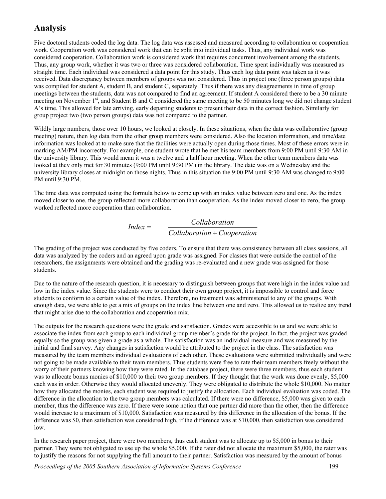### **Analysis**

Five doctoral students coded the log data. The log data was assessed and measured according to collaboration or cooperation work. Cooperation work was considered work that can be split into individual tasks. Thus, any individual work was considered cooperation. Collaboration work is considered work that requires concurrent involvement among the students. Thus, any group work, whether it was two or three was considered collaboration. Time spent individually was measured as straight time. Each individual was considered a data point for this study. Thus each log data point was taken as it was received. Data discrepancy between members of groups was not considered. Thus in project one (three person groups) data was compiled for student A, student B, and student C, separately. Thus if there was any disagreements in time of group meetings between the students, data was not compared to find an agreement. If student A considered there to be a 30 minute meeting on November 1<sup>st</sup>, and Student B and C considered the same meeting to be 50 minutes long we did not change student A's time. This allowed for late arriving, early departing students to present their data in the correct fashion. Similarly for group project two (two person groups) data was not compared to the partner.

Wildly large numbers, those over 10 hours, we looked at closely. In these situations, when the data was collaborative (group meeting) nature, then log data from the other group members were considered. Also the location information, and time/date information was looked at to make sure that the facilities were actually open during those times. Most of these errors were in marking AM/PM incorrectly. For example, one student wrote that he met his team members from 9:00 PM until 9:30 AM in the university library. This would mean it was a twelve and a half hour meeting. When the other team members data was looked at they only met for 30 minutes (9:00 PM until 9:30 PM) in the library. The date was on a Wednesday and the university library closes at midnight on those nights. Thus in this situation the 9:00 PM until 9:30 AM was changed to 9:00 PM until 9:30 PM.

The time data was computed using the formula below to come up with an index value between zero and one. As the index moved closer to one, the group reflected more collaboration than cooperation. As the index moved closer to zero, the group worked reflected more cooperation than collaboration.

$$
Index = \frac{Collaboration}{Collaboration + Cooperation}
$$

The grading of the project was conducted by five coders. To ensure that there was consistency between all class sessions, all data was analyzed by the coders and an agreed upon grade was assigned. For classes that were outside the control of the researchers, the assignments were obtained and the grading was re-evaluated and a new grade was assigned for those students.

Due to the nature of the research question, it is necessary to distinguish between groups that were high in the index value and low in the index value. Since the students were to conduct their own group project, it is impossible to control and force students to conform to a certain value of the index. Therefore, no treatment was administered to any of the groups. With enough data, we were able to get a mix of groups on the index line between one and zero. This allowed us to realize any trend that might arise due to the collaboration and cooperation mix.

The outputs for the research questions were the grade and satisfaction. Grades were accessible to us and we were able to associate the index from each group to each individual group member's grade for the project. In fact, the project was graded equally so the group was given a grade as a whole. The satisfaction was an individual measure and was measured by the initial and final survey. Any changes in satisfaction would be attributed to the project in the class. The satisfaction was measured by the team members individual evaluations of each other. These evaluations were submitted individually and were not going to be made available to their team members. Thus students were free to rate their team members freely without the worry of their partners knowing how they were rated. In the database project, there were three members, thus each student was to allocate bonus monies of \$10,000 to their two group members. If they thought that the work was done evenly, \$5,000 each was in order. Otherwise they would allocated unevenly. They were obligated to distribute the whole \$10,000. No matter how they allocated the monies, each student was required to justify the allocation. Each individual evaluation was coded. The difference in the allocation to the two group members was calculated. If there were no difference, \$5,000 was given to each member, thus the difference was zero. If there were some notion that one partner did more than the other, then the difference would increase to a maximum of \$10,000. Satisfaction was measured by this difference in the allocation of the bonus. If the difference was \$0, then satisfaction was considered high, if the difference was at \$10,000, then satisfaction was considered low.

In the research paper project, there were two members, thus each student was to allocate up to \$5,000 in bonus to their partner. They were not obligated to use up the whole \$5,000. If the rater did not allocate the maximum \$5,000, the rater was to justify the reasons for not supplying the full amount to their partner. Satisfaction was measured by the amount of bonus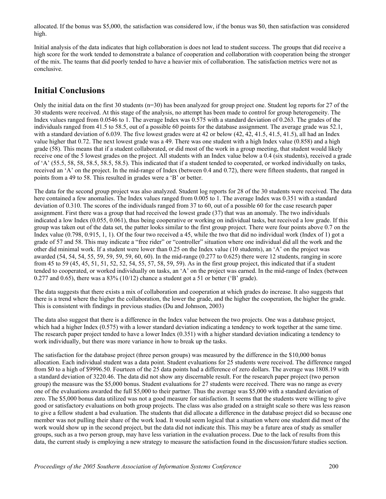allocated. If the bonus was \$5,000, the satisfaction was considered low, if the bonus was \$0, then satisfaction was considered high.

Initial analysis of the data indicates that high collaboration is does not lead to student success. The groups that did receive a high score for the work tended to demonstrate a balance of cooperation and collaboration with cooperation being the stronger of the mix. The teams that did poorly tended to have a heavier mix of collaboration. The satisfaction metrics were not as conclusive.

#### **Initial Conclusions**

Only the initial data on the first 30 students ( $n=30$ ) has been analyzed for group project one. Student log reports for 27 of the 30 students were received. At this stage of the analysis, no attempt has been made to control for group heterogeneity. The Index values ranged from 0.0546 to 1. The average Index was 0.575 with a standard deviation of 0.263. The grades of the individuals ranged from 41.5 to 58.5, out of a possible 60 points for the database assignment. The average grade was 52.1, with a standard deviation of 6.039. The five lowest grades were at 42 or below (42, 42, 41.5, 41.5, 41.5), all had an Index value higher that 0.72. The next lowest grade was a 49. There was one student with a high Index value (0.858) and a high grade (58). This means that if a student collaborated, or did most of the work in a group meeting, that student would likely receive one of the 5 lowest grades on the project. All students with an Index value below a 0.4 (six students), received a grade of 'A' (55.5, 58, 58, 58.5, 58.5, 58.5). This indicated that if a student tended to cooperated, or worked individually on tasks, received an 'A' on the project. In the mid-range of Index (between 0.4 and 0.72), there were fifteen students, that ranged in points from a 49 to 58. This resulted in grades were a 'B' or better.

The data for the second group project was also analyzed. Student log reports for 28 of the 30 students were received. The data here contained a few anomalies. The Index values ranged from 0.005 to 1. The average Index was 0.351 with a standard deviation of 0.310. The scores of the individuals ranged from 37 to 60, out of a possible 60 for the case research paper assignment. First there was a group that had received the lowest grade (37) that was an anomaly. The two individuals indicated a low Index (0.055, 0.061), thus being cooperative or working on individual tasks, but received a low grade. If this group was taken out of the data set, the patter looks similar to the first group project. There were four points above 0.7 on the Index value (0.798, 0.915, 1, 1). Of the four two received a 45, while the two that did no individual work (Index of 1) got a grade of 57 and 58. This may indicate a "free rider" or "controller" situation where one individual did all the work and the other did minimal work. If a student were lower than 0.25 on the Index value (10 students), an 'A' on the project was awarded (54, 54, 54, 55, 59, 59, 59, 59, 60, 60). In the mid-range (0.277 to 0.625) there were 12 students, ranging in score from 45 to 59 (45, 45, 51, 51, 52, 52, 54, 55, 57, 58, 59, 59). As in the first group project, this indicated that if a student tended to cooperated, or worked individually on tasks, an 'A' on the project was earned. In the mid-range of Index (between 0.277 and 0.65), there was a 83% (10/12) chance a student got a 51 or better ( $B'$  grade).

The data suggests that there exists a mix of collaboration and cooperation at which grades do increase. It also suggests that there is a trend where the higher the collaboration, the lower the grade, and the higher the cooperation, the higher the grade. This is consistent with findings in previous studies (Du and Johnson, 2003)

The data also suggest that there is a difference in the Index value between the two projects. One was a database project, which had a higher Index (0.575) with a lower standard deviation indicating a tendency to work together at the same time. The research paper project tended to have a lower Index (0.351) with a higher standard deviation indicating a tendency to work individually, but there was more variance in how to break up the tasks.

The satisfaction for the database project (three person groups) was measured by the difference in the \$10,000 bonus allocation. Each individual student was a data point. Student evaluations for 25 students were received. The difference ranged from \$0 to a high of \$9996.50. Fourteen of the 25 data points had a difference of zero dollars. The average was 1808.19 with a standard deviation of 3220.46. The data did not show any discernable result. For the research paper project (two person group) the measure was the \$5,000 bonus. Student evaluations for 27 students were received. There was no range as every one of the evaluations awarded the full \$5,000 to their partner. Thus the average was \$5,000 with a standard deviation of zero. The \$5,000 bonus data utilized was not a good measure for satisfaction. It seems that the students were willing to give good or satisfactory evaluations on both group projects. The class was also graded on a straight scale so there was less reason to give a fellow student a bad evaluation. The students that did allocate a difference in the database project did so because one member was not pulling their share of the work load. It would seem logical that a situation where one student did most of the work would show up in the second project, but the data did not indicate this. This may be a future area of study as smaller groups, such as a two person group, may have less variation in the evaluation process. Due to the lack of results from this data, the current study is employing a new strategy to measure the satisfaction found in the discussion/future studies section.